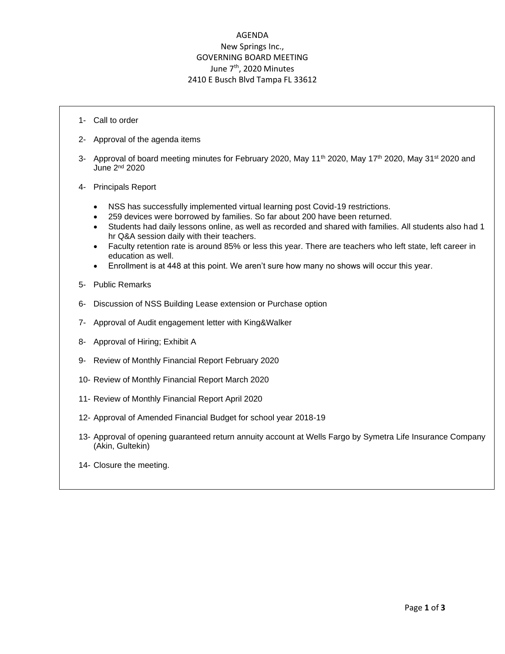## AGENDA New Springs Inc., GOVERNING BOARD MEETING June 7<sup>th</sup>, 2020 Minutes 2410 E Busch Blvd Tampa FL 33612

- 1- Call to order
- 2- Approval of the agenda items
- 3- Approval of board meeting minutes for February 2020, May 11<sup>th</sup> 2020, May 17<sup>th</sup> 2020, May 31<sup>st</sup> 2020 and June 2nd 2020
- 4- Principals Report
	- NSS has successfully implemented virtual learning post Covid-19 restrictions.
	- 259 devices were borrowed by families. So far about 200 have been returned.
	- Students had daily lessons online, as well as recorded and shared with families. All students also had 1 hr Q&A session daily with their teachers.
	- Faculty retention rate is around 85% or less this year. There are teachers who left state, left career in education as well.
	- Enrollment is at 448 at this point. We aren't sure how many no shows will occur this year.
- 5- Public Remarks
- 6- Discussion of NSS Building Lease extension or Purchase option
- 7- Approval of Audit engagement letter with King&Walker
- 8- Approval of Hiring; Exhibit A
- 9- Review of Monthly Financial Report February 2020
- 10- Review of Monthly Financial Report March 2020
- 11- Review of Monthly Financial Report April 2020
- 12- Approval of Amended Financial Budget for school year 2018-19
- 13- Approval of opening guaranteed return annuity account at Wells Fargo by Symetra Life Insurance Company (Akin, Gultekin)
- 14- Closure the meeting.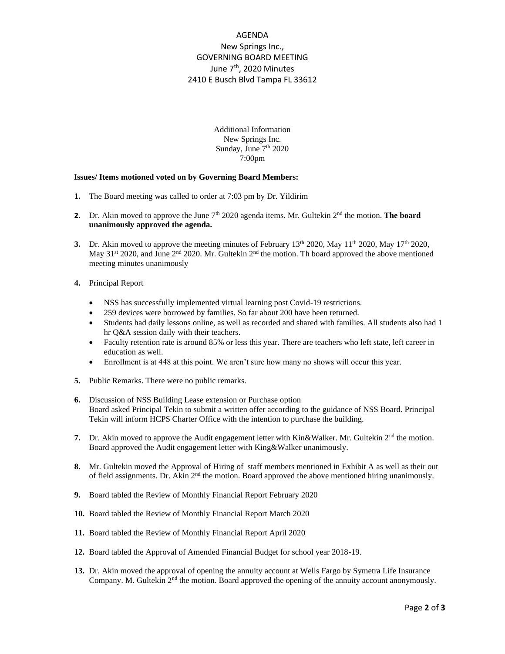## AGENDA New Springs Inc., GOVERNING BOARD MEETING June 7<sup>th</sup>, 2020 Minutes 2410 E Busch Blvd Tampa FL 33612

Additional Information New Springs Inc. Sunday, June 7<sup>th</sup> 2020 7:00pm

## **Issues/ Items motioned voted on by Governing Board Members:**

- **1.** The Board meeting was called to order at 7:03 pm by Dr. Yildirim
- **2.** Dr. Akin moved to approve the June 7<sup>th</sup> 2020 agenda items. Mr. Gultekin 2<sup>nd</sup> the motion. **The board unanimously approved the agenda.**
- **3.** Dr. Akin moved to approve the meeting minutes of February  $13<sup>th</sup> 2020$ , May  $11<sup>th</sup> 2020$ , May  $17<sup>th</sup> 2020$ , May 31<sup>st</sup> 2020, and June 2<sup>nd</sup> 2020. Mr. Gultekin 2<sup>nd</sup> the motion. Th board approved the above mentioned meeting minutes unanimously
- **4.** Principal Report
	- NSS has successfully implemented virtual learning post Covid-19 restrictions.
	- 259 devices were borrowed by families. So far about 200 have been returned.
	- Students had daily lessons online, as well as recorded and shared with families. All students also had 1 hr Q&A session daily with their teachers.
	- Faculty retention rate is around 85% or less this year. There are teachers who left state, left career in education as well.
	- Enrollment is at 448 at this point. We aren't sure how many no shows will occur this year.
- **5.** Public Remarks. There were no public remarks.
- **6.** Discussion of NSS Building Lease extension or Purchase option Board asked Principal Tekin to submit a written offer according to the guidance of NSS Board. Principal Tekin will inform HCPS Charter Office with the intention to purchase the building.
- **7.** Dr. Akin moved to approve the Audit engagement letter with Kin&Walker. Mr. Gultekin  $2<sup>nd</sup>$  the motion. Board approved the Audit engagement letter with King&Walker unanimously.
- **8.** Mr. Gultekin moved the Approval of Hiring of staff members mentioned in Exhibit A as well as their out of field assignments. Dr. Akin  $2<sup>nd</sup>$  the motion. Board approved the above mentioned hiring unanimously.
- **9.** Board tabled the Review of Monthly Financial Report February 2020
- **10.** Board tabled the Review of Monthly Financial Report March 2020
- **11.** Board tabled the Review of Monthly Financial Report April 2020
- **12.** Board tabled the Approval of Amended Financial Budget for school year 2018-19.
- **13.** Dr. Akin moved the approval of opening the annuity account at Wells Fargo by Symetra Life Insurance Company. M. Gultekin  $2<sup>nd</sup>$  the motion. Board approved the opening of the annuity account anonymously.